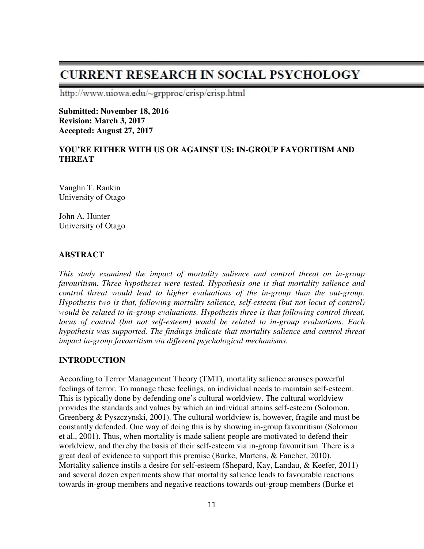# **CURRENT RESEARCH IN SOCIAL PSYCHOLOGY**

http://www.uiowa.edu/~grpproc/crisp/crisp.html

**Submitted: November 18, 2016 Revision: March 3, 2017 Accepted: August 27, 2017** 

# **YOU'RE EITHER WITH US OR AGAINST US: IN-GROUP FAVORITISM AND THREAT**

Vaughn T. Rankin University of Otago

John A. Hunter University of Otago

## **ABSTRACT**

*This study examined the impact of mortality salience and control threat on in-group favouritism. Three hypotheses were tested. Hypothesis one is that mortality salience and control threat would lead to higher evaluations of the in-group than the out-group. Hypothesis two is that, following mortality salience, self-esteem (but not locus of control) would be related to in-group evaluations. Hypothesis three is that following control threat, locus of control (but not self-esteem) would be related to in-group evaluations. Each hypothesis was supported. The findings indicate that mortality salience and control threat impact in-group favouritism via different psychological mechanisms.* 

#### **INTRODUCTION**

According to Terror Management Theory (TMT), mortality salience arouses powerful feelings of terror. To manage these feelings, an individual needs to maintain self-esteem. This is typically done by defending one's cultural worldview. The cultural worldview provides the standards and values by which an individual attains self-esteem (Solomon, Greenberg & Pyszczynski, 2001). The cultural worldview is, however, fragile and must be constantly defended. One way of doing this is by showing in-group favouritism (Solomon et al., 2001). Thus, when mortality is made salient people are motivated to defend their worldview, and thereby the basis of their self-esteem via in-group favouritism. There is a great deal of evidence to support this premise (Burke, Martens, & Faucher, 2010). Mortality salience instils a desire for self-esteem (Shepard, Kay, Landau, & Keefer, 2011) and several dozen experiments show that mortality salience leads to favourable reactions towards in-group members and negative reactions towards out-group members (Burke et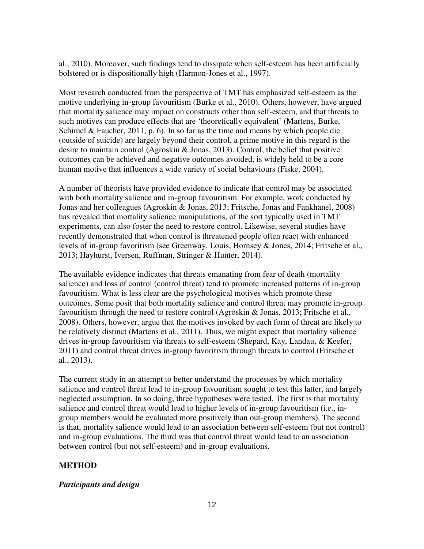al., 2010). Moreover, such findings tend to dissipate when self-esteem has been artificially bolstered or is dispositionally high (Harmon-Jones et al., 1997).

Most research conducted from the perspective of TMT has emphasized self-esteem as the motive underlying in-group favouritism (Burke et al., 2010). Others, however, have argued that mortality salience may impact on constructs other than self-esteem, and that threats to such motives can produce effects that are 'theoretically equivalent' (Martens, Burke, Schimel  $& Faucher, 2011, p. 6$ . In so far as the time and means by which people die (outside of suicide) are largely beyond their control, a prime motive in this regard is the desire to maintain control (Agroskin & Jonas, 2013). Control, the belief that positive outcomes can be achieved and negative outcomes avoided, is widely held to be a core human motive that influences a wide variety of social behaviours (Fiske, 2004).

A number of theorists have provided evidence to indicate that control may be associated with both mortality salience and in-group favouritism. For example, work conducted by Jonas and her colleagues (Agroskin & Jonas, 2013; Fritsche, Jonas and Fankhanel, 2008) has revealed that mortality salience manipulations, of the sort typically used in TMT experiments, can also foster the need to restore control. Likewise, several studies have recently demonstrated that when control is threatened people often react with enhanced levels of in-group favoritism (see Greenway, Louis, Hornsey & Jones, 2014; Fritsche et al., 2013; Hayhurst, Iversen, Ruffman, Stringer & Hunter, 2014).

The available evidence indicates that threats emanating from fear of death (mortality salience) and loss of control (control threat) tend to promote increased patterns of in-group favouritism. What is less clear are the psychological motives which promote these outcomes. Some posit that both mortality salience and control threat may promote in-group favouritism through the need to restore control (Agroskin & Jonas, 2013; Fritsche et al., 2008). Others, however, argue that the motives invoked by each form of threat are likely to be relatively distinct (Martens et al., 2011). Thus, we might expect that mortality salience drives in-group favouritism via threats to self-esteem (Shepard, Kay, Landau, & Keefer, 2011) and control threat drives in-group favoritism through threats to control (Fritsche et al., 2013).

The current study in an attempt to better understand the processes by which mortality salience and control threat lead to in-group favouritism sought to test this latter, and largely neglected assumption. In so doing, three hypotheses were tested. The first is that mortality salience and control threat would lead to higher levels of in-group favouritism (i.e., ingroup members would be evaluated more positively than out-group members). The second is that, mortality salience would lead to an association between self-esteem (but not control) and in-group evaluations. The third was that control threat would lead to an association between control (but not self-esteem) and in-group evaluations.

## **METHOD**

## *Participants and design*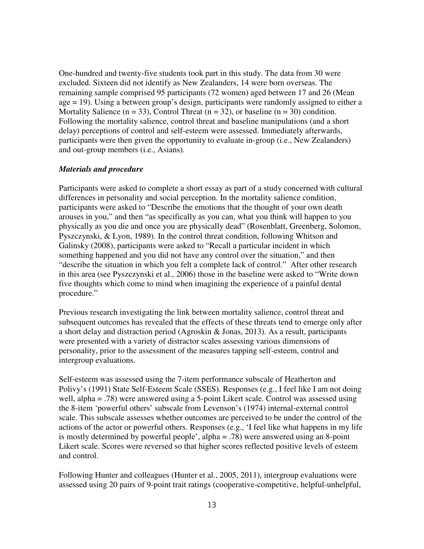One-hundred and twenty-five students took part in this study. The data from 30 were excluded. Sixteen did not identify as New Zealanders, 14 were born overseas. The remaining sample comprised 95 participants (72 women) aged between 17 and 26 (Mean age = 19). Using a between group's design, participants were randomly assigned to either a Mortality Salience ( $n = 33$ ), Control Threat ( $n = 32$ ), or baseline ( $n = 30$ ) condition. Following the mortality salience, control threat and baseline manipulations (and a short delay) perceptions of control and self-esteem were assessed. Immediately afterwards, participants were then given the opportunity to evaluate in-group (i.e., New Zealanders) and out-group members (i.e., Asians).

#### *Materials and procedure*

Participants were asked to complete a short essay as part of a study concerned with cultural differences in personality and social perception. In the mortality salience condition, participants were asked to "Describe the emotions that the thought of your own death arouses in you," and then "as specifically as you can, what you think will happen to you physically as you die and once you are physically dead" (Rosenblatt, Greenberg, Solomon, Pyszczynski, & Lyon, 1989). In the control threat condition, following Whitson and Galinsky (2008), participants were asked to "Recall a particular incident in which something happened and you did not have any control over the situation," and then "describe the situation in which you felt a complete lack of control." After other research in this area (see Pyszczynski et al., 2006) those in the baseline were asked to "Write down five thoughts which come to mind when imagining the experience of a painful dental procedure."

Previous research investigating the link between mortality salience, control threat and subsequent outcomes has revealed that the effects of these threats tend to emerge only after a short delay and distraction period (Agroskin & Jonas, 2013). As a result, participants were presented with a variety of distractor scales assessing various dimensions of personality, prior to the assessment of the measures tapping self-esteem, control and intergroup evaluations.

Self-esteem was assessed using the 7-item performance subscale of Heatherton and Polivy's (1991) State Self-Esteem Scale (SSES). Responses (e.g., I feel like I am not doing well, alpha = .78) were answered using a 5-point Likert scale. Control was assessed using the 8-item 'powerful others' subscale from Levenson's (1974) internal-external control scale. This subscale assesses whether outcomes are perceived to be under the control of the actions of the actor or powerful others. Responses (e.g., 'I feel like what happens in my life is mostly determined by powerful people', alpha = .78) were answered using an 8-point Likert scale. Scores were reversed so that higher scores reflected positive levels of esteem and control.

Following Hunter and colleagues (Hunter et al., 2005, 2011), intergroup evaluations were assessed using 20 pairs of 9-point trait ratings (cooperative-competitive, helpful-unhelpful,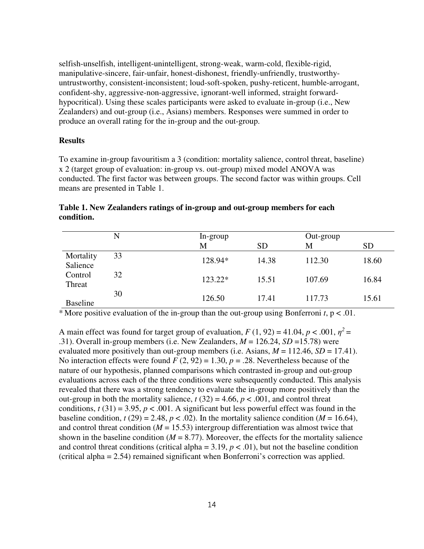selfish-unselfish, intelligent-unintelligent, strong-weak, warm-cold, flexible-rigid, manipulative-sincere, fair-unfair, honest-dishonest, friendly-unfriendly, trustworthyuntrustworthy, consistent-inconsistent; loud-soft-spoken, pushy-reticent, humble-arrogant, confident-shy, aggressive-non-aggressive, ignorant-well informed, straight forwardhypocritical). Using these scales participants were asked to evaluate in-group (i.e., New Zealanders) and out-group (i.e., Asians) members. Responses were summed in order to produce an overall rating for the in-group and the out-group.

#### **Results**

To examine in-group favouritism a 3 (condition: mortality salience, control threat, baseline) x 2 (target group of evaluation: in-group vs. out-group) mixed model ANOVA was conducted. The first factor was between groups. The second factor was within groups. Cell means are presented in Table 1.

|                       | N  | In-group |           | Out-group |           |  |
|-----------------------|----|----------|-----------|-----------|-----------|--|
|                       |    | М        | <b>SD</b> | M         | <b>SD</b> |  |
| Mortality<br>Salience | 33 | 128.94*  | 14.38     | 112.30    | 18.60     |  |
| Control<br>Threat     | 32 | 123.22*  | 15.51     | 107.69    | 16.84     |  |
| <b>Baseline</b>       | 30 | 126.50   | 17.41     | 117.73    | 15.61     |  |

**Table 1. New Zealanders ratings of in-group and out-group members for each condition.** 

\* More positive evaluation of the in-group than the out-group using Bonferroni  $t$ ,  $p < 0.01$ .

A main effect was found for target group of evaluation,  $F(1, 92) = 41.04$ ,  $p < .001$ ,  $\eta^2 =$ .31). Overall in-group members (i.e. New Zealanders,  $M = 126.24$ ,  $SD = 15.78$ ) were evaluated more positively than out-group members (i.e. Asians,  $M = 112.46$ ,  $SD = 17.41$ ). No interaction effects were found  $F(2, 92) = 1.30$ ,  $p = .28$ . Nevertheless because of the nature of our hypothesis, planned comparisons which contrasted in-group and out-group evaluations across each of the three conditions were subsequently conducted. This analysis revealed that there was a strong tendency to evaluate the in-group more positively than the out-group in both the mortality salience,  $t(32) = 4.66$ ,  $p < .001$ , and control threat conditions,  $t(31) = 3.95$ ,  $p < .001$ . A significant but less powerful effect was found in the baseline condition,  $t(29) = 2.48$ ,  $p < .02$ ). In the mortality salience condition ( $M = 16.64$ ), and control threat condition  $(M = 15.53)$  intergroup differentiation was almost twice that shown in the baseline condition  $(M = 8.77)$ . Moreover, the effects for the mortality salience and control threat conditions (critical alpha =  $3.19$ ,  $p < .01$ ), but not the baseline condition (critical alpha = 2.54) remained significant when Bonferroni's correction was applied.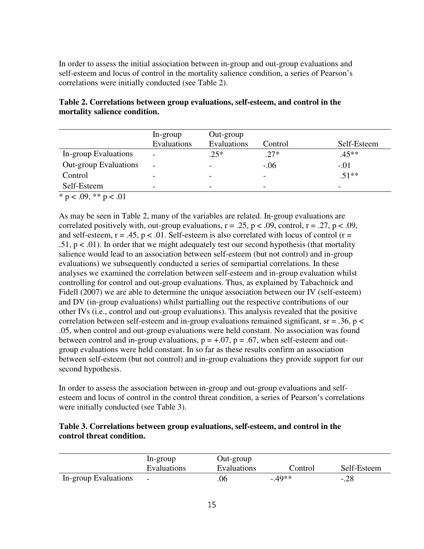In order to assess the initial association between in-group and out-group evaluations and self-esteem and locus of control in the mortality salience condition, a series of Pearson's correlations were initially conducted (see Table 2).

|                       | In-group                 | Out-group   |         |                          |
|-----------------------|--------------------------|-------------|---------|--------------------------|
|                       | Evaluations              | Evaluations | Control | Self-Esteem              |
| In-group Evaluations  | $\overline{\phantom{0}}$ | $.25*$      | $.27*$  | $.45**$                  |
| Out-group Evaluations | $\overline{\phantom{0}}$ |             | $-.06$  | $-.01$                   |
| Control               | -                        |             |         | $.51**$                  |
| Self-Esteem           | $\overline{\phantom{a}}$ | -           | -       | $\overline{\phantom{0}}$ |

**Table 2. Correlations between group evaluations, self-esteem, and control in the mortality salience condition.** 

\* p < .09, \*\* p < .01

As may be seen in Table 2, many of the variables are related. In-group evaluations are correlated positively with, out-group evaluations,  $r = .25$ ,  $p < .09$ , control,  $r = .27$ ,  $p < .09$ , and self-esteem,  $r = .45$ ,  $p < .01$ . Self-esteem is also correlated with locus of control ( $r =$  $.51, p < .01$ ). In order that we might adequately test our second hypothesis (that mortality salience would lead to an association between self-esteem (but not control) and in-group evaluations) we subsequently conducted a series of semipartial correlations. In these analyses we examined the correlation between self-esteem and in-group evaluation whilst controlling for control and out-group evaluations. Thus, as explained by Tabachnick and Fidell (2007) we are able to determine the unique association between our IV (self-esteem) and DV (in-group evaluations) whilst partialling out the respective contributions of our other IVs (i.e., control and out-group evaluations). This analysis revealed that the positive correlation between self-esteem and in-group evaluations remained significant,  $sr = .36$ ,  $p <$ .05, when control and out-group evaluations were held constant. No association was found between control and in-group evaluations,  $p = +0.07$ ,  $p = 0.67$ , when self-esteem and outgroup evaluations were held constant. In so far as these results confirm an association between self-esteem (but not control) and in-group evaluations they provide support for our second hypothesis.

In order to assess the association between in-group and out-group evaluations and selfesteem and locus of control in the control threat condition, a series of Pearson's correlations were initially conducted (see Table 3).

# **Table 3. Correlations between group evaluations, self-esteem, and control in the control threat condition.**

|                      | In-group                 | Out-group   |         |             |
|----------------------|--------------------------|-------------|---------|-------------|
|                      | <b>Evaluations</b>       | Evaluations | Control | Self-Esteem |
| In-group Evaluations | $\overline{\phantom{0}}$ | .06         | $-49**$ | $-.28$      |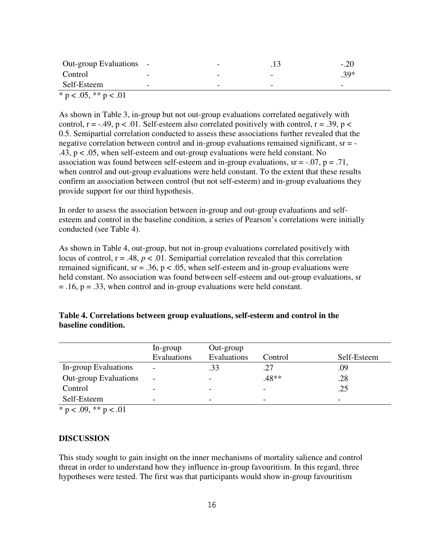| Out-group Evaluations - |                          | $\overline{\phantom{0}}$ |                          | $-.20$                   |
|-------------------------|--------------------------|--------------------------|--------------------------|--------------------------|
| Control                 | $\sim$                   | $\overline{\phantom{0}}$ | $\overline{\phantom{0}}$ | $.39*$                   |
| Self-Esteem             | $\overline{\phantom{0}}$ | $\overline{\phantom{0}}$ | $\overline{\phantom{0}}$ | $\overline{\phantom{0}}$ |
| * p < .05, ** p < .01   |                          |                          |                          |                          |

As shown in Table 3, in-group but not out-group evaluations correlated negatively with control,  $r = -0.49$ ,  $p < 0.01$ . Self-esteem also correlated positively with control,  $r = 0.39$ ,  $p <$ 0.5. Semipartial correlation conducted to assess these associations further revealed that the negative correlation between control and in-group evaluations remained significant, sr = -.43, p < .05, when self-esteem and out-group evaluations were held constant. No association was found between self-esteem and in-group evaluations,  $sr = -.07$ ,  $p = .71$ , when control and out-group evaluations were held constant. To the extent that these results confirm an association between control (but not self-esteem) and in-group evaluations they provide support for our third hypothesis.

In order to assess the association between in-group and out-group evaluations and selfesteem and control in the baseline condition, a series of Pearson's correlations were initially conducted (see Table 4).

As shown in Table 4, out-group, but not in-group evaluations correlated positively with locus of control,  $r = .48$ ,  $p < .01$ . Semipartial correlation revealed that this correlation remained significant,  $sr = .36$ ,  $p < .05$ , when self-esteem and in-group evaluations were held constant. No association was found between self-esteem and out-group evaluations, sr  $= .16$ ,  $p = .33$ , when control and in-group evaluations were held constant.

| Table 4. Correlations between group evaluations, self-esteem and control in the |  |
|---------------------------------------------------------------------------------|--|
| baseline condition.                                                             |  |

|                              | In-group<br>Evaluations  | Out-group<br>Evaluations | Control                  | Self-Esteem              |
|------------------------------|--------------------------|--------------------------|--------------------------|--------------------------|
| In-group Evaluations         | $\overline{\phantom{a}}$ | .33                      |                          | .09                      |
| <b>Out-group Evaluations</b> | $\overline{\phantom{0}}$ |                          | .48**                    | .28                      |
| Control                      | $\overline{\phantom{0}}$ |                          |                          | .25                      |
| Self-Esteem                  | $\overline{\phantom{0}}$ | -                        | $\overline{\phantom{0}}$ | $\overline{\phantom{0}}$ |

 $*$  p < .09,  $*$  p < .01

#### **DISCUSSION**

This study sought to gain insight on the inner mechanisms of mortality salience and control threat in order to understand how they influence in-group favouritism. In this regard, three hypotheses were tested. The first was that participants would show in-group favouritism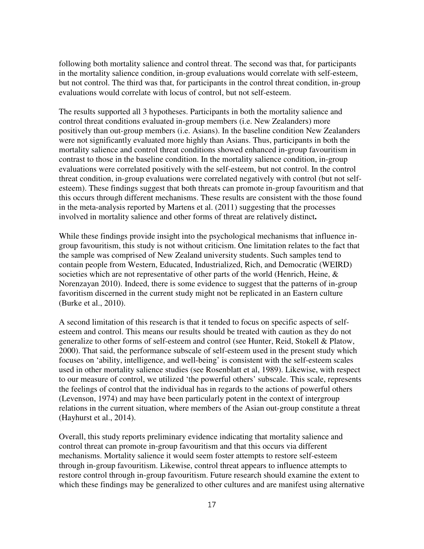following both mortality salience and control threat. The second was that, for participants in the mortality salience condition, in-group evaluations would correlate with self-esteem, but not control. The third was that, for participants in the control threat condition, in-group evaluations would correlate with locus of control, but not self-esteem.

The results supported all 3 hypotheses. Participants in both the mortality salience and control threat conditions evaluated in-group members (i.e. New Zealanders) more positively than out-group members (i.e. Asians). In the baseline condition New Zealanders were not significantly evaluated more highly than Asians. Thus, participants in both the mortality salience and control threat conditions showed enhanced in-group favouritism in contrast to those in the baseline condition. In the mortality salience condition, in-group evaluations were correlated positively with the self-esteem, but not control. In the control threat condition, in-group evaluations were correlated negatively with control (but not selfesteem). These findings suggest that both threats can promote in-group favouritism and that this occurs through different mechanisms. These results are consistent with the those found in the meta-analysis reported by Martens et al. (2011) suggesting that the processes involved in mortality salience and other forms of threat are relatively distinct**.** 

While these findings provide insight into the psychological mechanisms that influence ingroup favouritism, this study is not without criticism. One limitation relates to the fact that the sample was comprised of New Zealand university students. Such samples tend to contain people from Western, Educated, Industrialized, Rich, and Democratic (WEIRD) societies which are not representative of other parts of the world (Henrich, Heine, & Norenzayan 2010). Indeed, there is some evidence to suggest that the patterns of in-group favoritism discerned in the current study might not be replicated in an Eastern culture (Burke et al., 2010).

A second limitation of this research is that it tended to focus on specific aspects of selfesteem and control. This means our results should be treated with caution as they do not generalize to other forms of self-esteem and control (see Hunter, Reid, Stokell & Platow, 2000). That said, the performance subscale of self-esteem used in the present study which focuses on 'ability, intelligence, and well-being' is consistent with the self-esteem scales used in other mortality salience studies (see Rosenblatt et al, 1989). Likewise, with respect to our measure of control, we utilized 'the powerful others' subscale. This scale, represents the feelings of control that the individual has in regards to the actions of powerful others (Levenson, 1974) and may have been particularly potent in the context of intergroup relations in the current situation, where members of the Asian out-group constitute a threat (Hayhurst et al., 2014).

Overall, this study reports preliminary evidence indicating that mortality salience and control threat can promote in-group favouritism and that this occurs via different mechanisms. Mortality salience it would seem foster attempts to restore self-esteem through in-group favouritism. Likewise, control threat appears to influence attempts to restore control through in-group favouritism. Future research should examine the extent to which these findings may be generalized to other cultures and are manifest using alternative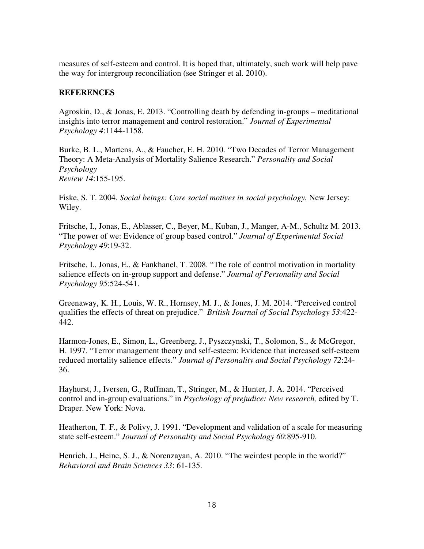measures of self-esteem and control. It is hoped that, ultimately, such work will help pave the way for intergroup reconciliation (see Stringer et al. 2010).

## **REFERENCES**

Agroskin, D., & Jonas, E. 2013. "Controlling death by defending in-groups – meditational insights into terror management and control restoration." *Journal of Experimental Psychology 4*:1144-1158.

Burke, B. L., Martens, A., & Faucher, E. H. 2010. "Two Decades of Terror Management Theory: A Meta-Analysis of Mortality Salience Research." *Personality and Social Psychology Review 14*:155-195.

Fiske, S. T. 2004. *Social beings: Core social motives in social psychology.* New Jersey: Wiley.

Fritsche, I., Jonas, E., Ablasser, C., Beyer, M., Kuban, J., Manger, A-M., Schultz M. 2013. "The power of we: Evidence of group based control." *Journal of Experimental Social Psychology 49*:19-32.

Fritsche, I., Jonas, E., & Fankhanel, T. 2008. "The role of control motivation in mortality salience effects on in-group support and defense." *Journal of Personality and Social Psychology 95*:524-541.

Greenaway, K. H., Louis, W. R., Hornsey, M. J., & Jones, J. M. 2014. "Perceived control qualifies the effects of threat on prejudice." *British Journal of Social Psychology 53*:422- 442.

Harmon-Jones, E., Simon, L., Greenberg, J., Pyszczynski, T., Solomon, S., & McGregor, H. 1997. "Terror management theory and self-esteem: Evidence that increased self-esteem reduced mortality salience effects." *Journal of Personality and Social Psychology 72*:24- 36.

Hayhurst, J., Iversen, G., Ruffman, T., Stringer, M., & Hunter, J. A. 2014. "Perceived control and in-group evaluations." in *Psychology of prejudice: New research,* edited by T. Draper. New York: Nova.

Heatherton, T. F., & Polivy, J. 1991. "Development and validation of a scale for measuring state self-esteem." *Journal of Personality and Social Psychology 60*:895-910.

Henrich, J., Heine, S. J., & Norenzayan, A. 2010. "The weirdest people in the world?" *Behavioral and Brain Sciences 33*: 61-135.